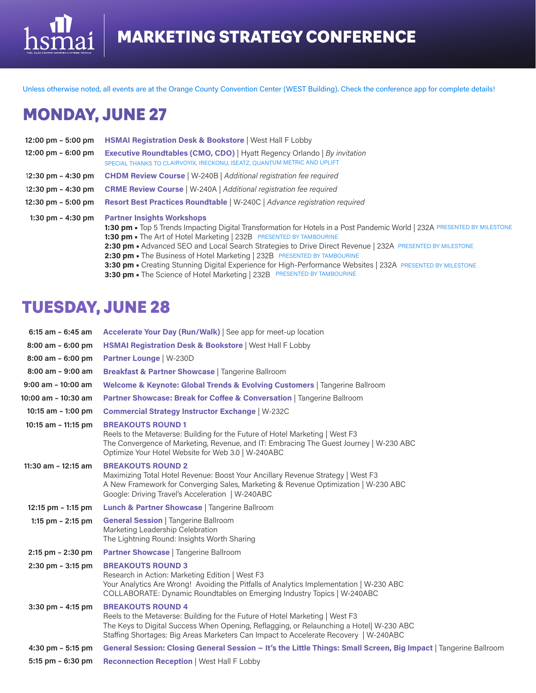Unless otherwise noted, all events are at the Orange County Convention Center (WEST Building). Check the conference app for complete details!

# MONDAY, JUNE 27

iai

hs

| $12:00 \text{ pm} - 5:00 \text{ pm}$ | <b>HSMAI Registration Desk &amp; Bookstore   West Hall F Lobby</b>                                                                                                                                                                                                                                                                                                                                                                                                                                                                                                                                                     |
|--------------------------------------|------------------------------------------------------------------------------------------------------------------------------------------------------------------------------------------------------------------------------------------------------------------------------------------------------------------------------------------------------------------------------------------------------------------------------------------------------------------------------------------------------------------------------------------------------------------------------------------------------------------------|
| $12:00 \text{ pm} - 6:00 \text{ pm}$ | <b>Executive Roundtables (CMO, CDO)</b>   Hyatt Regency Orlando   By invitation<br>SPECIAL THANKS TO CLAIRVOYIX, IRECKONU, ISEATZ, QUANTUM METRIC AND UPLIFT                                                                                                                                                                                                                                                                                                                                                                                                                                                           |
| $12:30 \text{ pm} - 4:30 \text{ pm}$ | <b>CHDM Review Course</b>   W-240B   Additional registration fee required                                                                                                                                                                                                                                                                                                                                                                                                                                                                                                                                              |
| 12:30 pm $-$ 4:30 pm                 | <b>CRME Review Course</b>   W-240A   Additional registration fee required                                                                                                                                                                                                                                                                                                                                                                                                                                                                                                                                              |
| $12:30 \text{ pm} - 5:00 \text{ pm}$ | Resort Best Practices Roundtable   W-240C   Advance registration required                                                                                                                                                                                                                                                                                                                                                                                                                                                                                                                                              |
| 1:30 pm $-$ 4:30 pm                  | <b>Partner Insights Workshops</b><br>1:30 pm · Top 5 Trends Impacting Digital Transformation for Hotels in a Post Pandemic World   232A PRESENTED BY MILESTONE<br>1:30 pm - The Art of Hotel Marketing   232B PRESENTED BY TAMBOURINE<br>2:30 pm - Advanced SEO and Local Search Strategies to Drive Direct Revenue   232A PRESENTED BY MILESTONE<br>2:30 pm - The Business of Hotel Marketing   232B PRESENTED BY TAMBOURINE<br>3:30 pm • Creating Stunning Digital Experience for High-Performance Websites   232A PRESENTED BY MILESTONE<br>3:30 pm - The Science of Hotel Marketing   232B PRESENTED BY TAMBOURINE |

## TUESDAY, JUNE 28

| 6:15 am - 6:45 am       | Accelerate Your Day (Run/Walk)   See app for meet-up location                                                                                                                                                                                                                               |
|-------------------------|---------------------------------------------------------------------------------------------------------------------------------------------------------------------------------------------------------------------------------------------------------------------------------------------|
| 8:00 am - 6:00 pm       | <b>HSMAI Registration Desk &amp; Bookstore   West Hall F Lobby</b>                                                                                                                                                                                                                          |
| $8:00$ am $-6:00$ pm    | <b>Partner Lounge   W-230D</b>                                                                                                                                                                                                                                                              |
| $8:00$ am $-9:00$ am    | <b>Breakfast &amp; Partner Showcase   Tangerine Ballroom</b>                                                                                                                                                                                                                                |
| $9:00$ am - 10:00 am    | Welcome & Keynote: Global Trends & Evolving Customers   Tangerine Ballroom                                                                                                                                                                                                                  |
| 10:00 am - 10:30 am     | Partner Showcase: Break for Coffee & Conversation   Tangerine Ballroom                                                                                                                                                                                                                      |
| 10:15 am $-$ 1:00 pm    | <b>Commercial Strategy Instructor Exchange   W-232C</b>                                                                                                                                                                                                                                     |
| 10:15 am $-$ 11:15 pm   | <b>BREAKOUTS ROUND 1</b><br>Reels to the Metaverse: Building for the Future of Hotel Marketing   West F3<br>The Convergence of Marketing, Revenue, and IT: Embracing The Guest Journey   W-230 ABC<br>Optimize Your Hotel Website for Web 3.0   W-240ABC                                    |
| $11:30$ am - $12:15$ am | <b>BREAKOUTS ROUND 2</b><br>Maximizing Total Hotel Revenue: Boost Your Ancillary Revenue Strategy   West F3<br>A New Framework for Converging Sales, Marketing & Revenue Optimization   W-230 ABC<br>Google: Driving Travel's Acceleration   W-240ABC                                       |
| 12:15 pm $-$ 1:15 pm    | <b>Lunch &amp; Partner Showcase</b>   Tangerine Ballroom                                                                                                                                                                                                                                    |
| 1:15 pm $- 2:15$ pm     | <b>General Session</b>   Tangerine Ballroom<br>Marketing Leadership Celebration<br>The Lightning Round: Insights Worth Sharing                                                                                                                                                              |
| $2:15$ pm $- 2:30$ pm   | <b>Partner Showcase</b>   Tangerine Ballroom                                                                                                                                                                                                                                                |
| $2:30$ pm $-3:15$ pm    | <b>BREAKOUTS ROUND 3</b><br>Research in Action: Marketing Edition   West F3<br>Your Analytics Are Wrong! Avoiding the Pitfalls of Analytics Implementation   W-230 ABC<br>COLLABORATE: Dynamic Roundtables on Emerging Industry Topics   W-240ABC                                           |
| $3:30$ pm $-4:15$ pm    | <b>BREAKOUTS ROUND 4</b><br>Reels to the Metaverse: Building for the Future of Hotel Marketing   West F3<br>The Keys to Digital Success When Opening, Reflagging, or Relaunching a Hotel  W-230 ABC<br>Staffing Shortages: Big Areas Marketers Can Impact to Accelerate Recovery   W-240ABC |
| 4:30 pm $-$ 5:15 pm     | General Session: Closing General Session ~ It's the Little Things: Small Screen, Big Impact   Tangerine Ballroom                                                                                                                                                                            |
| $5:15$ pm $-6:30$ pm    | <b>Reconnection Reception   West Hall F Lobby</b>                                                                                                                                                                                                                                           |
|                         |                                                                                                                                                                                                                                                                                             |